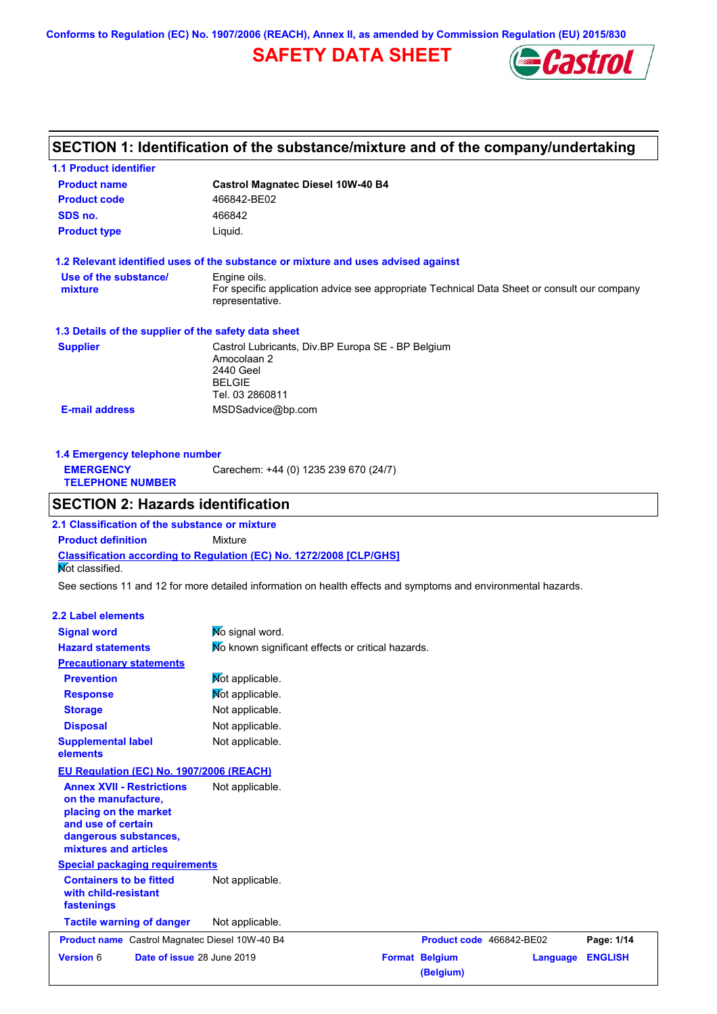# **SAFETY DATA SHEET**



# **SECTION 1: Identification of the substance/mixture and of the company/undertaking**

| <b>1.1 Product identifier</b>                                                                                                                            |                                                                                                                                |                                    |                 |                |
|----------------------------------------------------------------------------------------------------------------------------------------------------------|--------------------------------------------------------------------------------------------------------------------------------|------------------------------------|-----------------|----------------|
| <b>Product name</b>                                                                                                                                      | <b>Castrol Magnatec Diesel 10W-40 B4</b>                                                                                       |                                    |                 |                |
| <b>Product code</b>                                                                                                                                      | 466842-BE02                                                                                                                    |                                    |                 |                |
| SDS no.                                                                                                                                                  | 466842                                                                                                                         |                                    |                 |                |
| <b>Product type</b>                                                                                                                                      | Liquid.                                                                                                                        |                                    |                 |                |
| 1.2 Relevant identified uses of the substance or mixture and uses advised against                                                                        |                                                                                                                                |                                    |                 |                |
| Use of the substance/<br>mixture                                                                                                                         | Engine oils.<br>For specific application advice see appropriate Technical Data Sheet or consult our company<br>representative. |                                    |                 |                |
| 1.3 Details of the supplier of the safety data sheet                                                                                                     |                                                                                                                                |                                    |                 |                |
| <b>Supplier</b>                                                                                                                                          | Castrol Lubricants, Div.BP Europa SE - BP Belgium<br>Amocolaan 2<br>2440 Geel<br><b>BELGIE</b><br>Tel. 03 2860811              |                                    |                 |                |
| <b>E-mail address</b>                                                                                                                                    | MSDSadvice@bp.com                                                                                                              |                                    |                 |                |
| 1.4 Emergency telephone number<br><b>EMERGENCY</b><br><b>TELEPHONE NUMBER</b>                                                                            | Carechem: +44 (0) 1235 239 670 (24/7)                                                                                          |                                    |                 |                |
| <b>SECTION 2: Hazards identification</b>                                                                                                                 |                                                                                                                                |                                    |                 |                |
| 2.1 Classification of the substance or mixture                                                                                                           |                                                                                                                                |                                    |                 |                |
| <b>Product definition</b>                                                                                                                                | Mixture                                                                                                                        |                                    |                 |                |
| <b>Classification according to Regulation (EC) No. 1272/2008 [CLP/GHS]</b><br>Not classified.                                                            |                                                                                                                                |                                    |                 |                |
| See sections 11 and 12 for more detailed information on health effects and symptoms and environmental hazards.                                           |                                                                                                                                |                                    |                 |                |
| <b>2.2 Label elements</b>                                                                                                                                |                                                                                                                                |                                    |                 |                |
| <b>Signal word</b>                                                                                                                                       | No signal word.                                                                                                                |                                    |                 |                |
| <b>Hazard statements</b>                                                                                                                                 | No known significant effects or critical hazards.                                                                              |                                    |                 |                |
| <b>Precautionary statements</b>                                                                                                                          |                                                                                                                                |                                    |                 |                |
| <b>Prevention</b>                                                                                                                                        | Mot applicable.                                                                                                                |                                    |                 |                |
| <b>Response</b>                                                                                                                                          | Mot applicable.                                                                                                                |                                    |                 |                |
| <b>Storage</b>                                                                                                                                           | Not applicable.                                                                                                                |                                    |                 |                |
| <b>Disposal</b>                                                                                                                                          | Not applicable.                                                                                                                |                                    |                 |                |
| <b>Supplemental label</b><br>elements                                                                                                                    | Not applicable.                                                                                                                |                                    |                 |                |
| EU Regulation (EC) No. 1907/2006 (REACH)                                                                                                                 |                                                                                                                                |                                    |                 |                |
| <b>Annex XVII - Restrictions</b><br>on the manufacture,<br>placing on the market<br>and use of certain<br>dangerous substances,<br>mixtures and articles | Not applicable.                                                                                                                |                                    |                 |                |
| <b>Special packaging requirements</b>                                                                                                                    |                                                                                                                                |                                    |                 |                |
| <b>Containers to be fitted</b><br>with child-resistant<br>fastenings                                                                                     | Not applicable.                                                                                                                |                                    |                 |                |
| <b>Tactile warning of danger</b>                                                                                                                         | Not applicable.                                                                                                                |                                    |                 |                |
| <b>Product name</b> Castrol Magnatec Diesel 10W-40 B4                                                                                                    |                                                                                                                                | Product code 466842-BE02           |                 | Page: 1/14     |
| <b>Version 6</b>                                                                                                                                         | Date of issue 28 June 2019                                                                                                     | <b>Format Belgium</b><br>(Belgium) | <b>Language</b> | <b>ENGLISH</b> |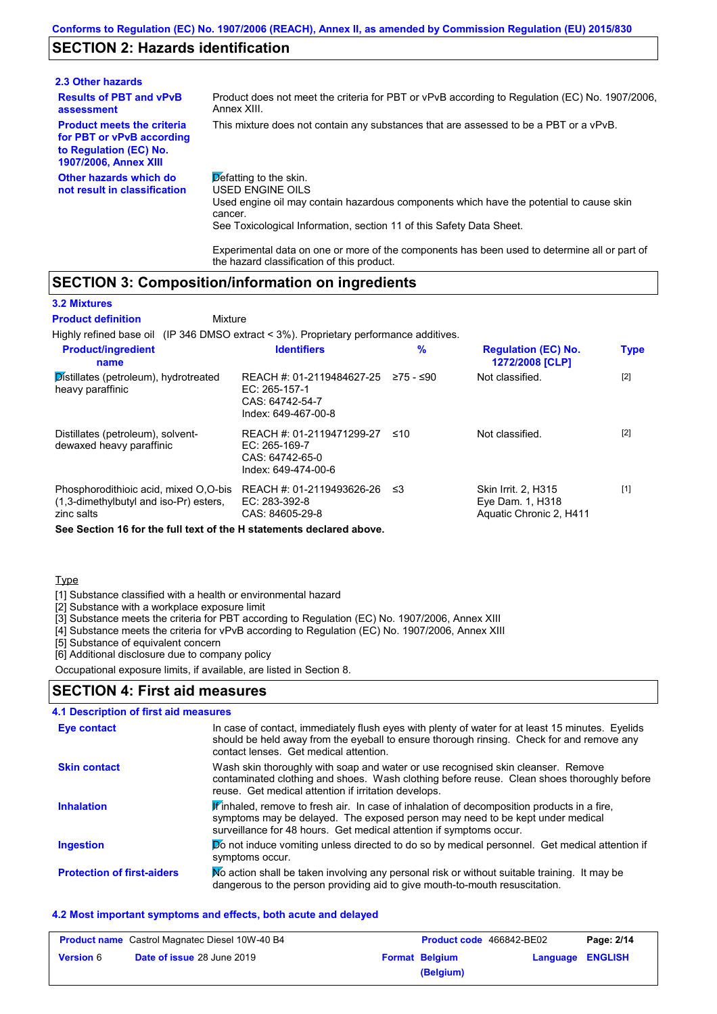# **SECTION 2: Hazards identification**

| 2.3 Other hazards                                                                                                        |                                                                                                                                                                                                                                                                                                                                                                        |
|--------------------------------------------------------------------------------------------------------------------------|------------------------------------------------------------------------------------------------------------------------------------------------------------------------------------------------------------------------------------------------------------------------------------------------------------------------------------------------------------------------|
| <b>Results of PBT and vPvB</b><br>assessment                                                                             | Product does not meet the criteria for PBT or vPvB according to Regulation (EC) No. 1907/2006,<br>Annex XIII.                                                                                                                                                                                                                                                          |
| <b>Product meets the criteria</b><br>for PBT or vPvB according<br>to Regulation (EC) No.<br><b>1907/2006, Annex XIII</b> | This mixture does not contain any substances that are assessed to be a PBT or a vPvB.                                                                                                                                                                                                                                                                                  |
| Other hazards which do<br>not result in classification                                                                   | Defatting to the skin.<br>USED ENGINE OILS<br>Used engine oil may contain hazardous components which have the potential to cause skin<br>cancer.<br>See Toxicological Information, section 11 of this Safety Data Sheet.<br>Experimental data on one or more of the components has been used to determine all or part of<br>the hazard classification of this product. |

## **SECTION 3: Composition/information on ingredients**

Mixture

#### **3.2 Mixtures**

**Product definition**

| Highly refined base oil (IP 346 DMSO extract < 3%). Proprietary performance additives.        |                                                                                        |           |                                                                    |             |
|-----------------------------------------------------------------------------------------------|----------------------------------------------------------------------------------------|-----------|--------------------------------------------------------------------|-------------|
| <b>Product/ingredient</b><br>name                                                             | <b>Identifiers</b>                                                                     | $\%$      | <b>Regulation (EC) No.</b><br>1272/2008 [CLP]                      | <b>Type</b> |
| Distillates (petroleum), hydrotreated<br>heavy paraffinic                                     | REACH #: 01-2119484627-25<br>EC: $265-157-1$<br>CAS: 64742-54-7<br>Index: 649-467-00-8 | ≥75 - ≤90 | Not classified.                                                    | $[2]$       |
| Distillates (petroleum), solvent-<br>dewaxed heavy paraffinic                                 | REACH #: 01-2119471299-27<br>$EC: 265-169-7$<br>CAS: 64742-65-0<br>Index: 649-474-00-6 | ≤10       | Not classified.                                                    | $[2]$       |
| Phosphorodithioic acid, mixed O.O-bis<br>(1,3-dimethylbutyl and iso-Pr) esters.<br>zinc salts | REACH #: 01-2119493626-26<br>EC: 283-392-8<br>CAS: 84605-29-8                          | ≤3        | Skin Irrit. 2, H315<br>Eye Dam. 1, H318<br>Aquatic Chronic 2, H411 | $[1]$       |
| Osa Osatian dO fantha full taut af tha 11 atatamanta dealanad ahaus.                          |                                                                                        |           |                                                                    |             |

**See Section 16 for the full text of the H statements declared above.**

## **Type**

[1] Substance classified with a health or environmental hazard

[2] Substance with a workplace exposure limit

[3] Substance meets the criteria for PBT according to Regulation (EC) No. 1907/2006, Annex XIII

[4] Substance meets the criteria for vPvB according to Regulation (EC) No. 1907/2006, Annex XIII

[5] Substance of equivalent concern

[6] Additional disclosure due to company policy

Occupational exposure limits, if available, are listed in Section 8.

### **SECTION 4: First aid measures**

| 4.1 Description of first aid measures |                                                                                                                                                                                                                                                   |
|---------------------------------------|---------------------------------------------------------------------------------------------------------------------------------------------------------------------------------------------------------------------------------------------------|
| <b>Eye contact</b>                    | In case of contact, immediately flush eyes with plenty of water for at least 15 minutes. Eyelids<br>should be held away from the eyeball to ensure thorough rinsing. Check for and remove any<br>contact lenses. Get medical attention.           |
| <b>Skin contact</b>                   | Wash skin thoroughly with soap and water or use recognised skin cleanser. Remove<br>contaminated clothing and shoes. Wash clothing before reuse. Clean shoes thoroughly before<br>reuse. Get medical attention if irritation develops.            |
| <b>Inhalation</b>                     | Winhaled, remove to fresh air. In case of inhalation of decomposition products in a fire,<br>symptoms may be delayed. The exposed person may need to be kept under medical<br>surveillance for 48 hours. Get medical attention if symptoms occur. |
| <b>Ingestion</b>                      | Do not induce vomiting unless directed to do so by medical personnel. Get medical attention if<br>symptoms occur.                                                                                                                                 |
| <b>Protection of first-aiders</b>     | No action shall be taken involving any personal risk or without suitable training. It may be<br>dangerous to the person providing aid to give mouth-to-mouth resuscitation.                                                                       |

### **4.2 Most important symptoms and effects, both acute and delayed**

| <b>Product name</b> Castrol Magnatec Diesel 10W-40 B4 |                                   | <b>Product code</b> 466842-BE02 |                       | Page: 2/14       |  |
|-------------------------------------------------------|-----------------------------------|---------------------------------|-----------------------|------------------|--|
| <b>Version 6</b>                                      | <b>Date of issue 28 June 2019</b> |                                 | <b>Format Belgium</b> | Language ENGLISH |  |
|                                                       |                                   |                                 | (Belgium)             |                  |  |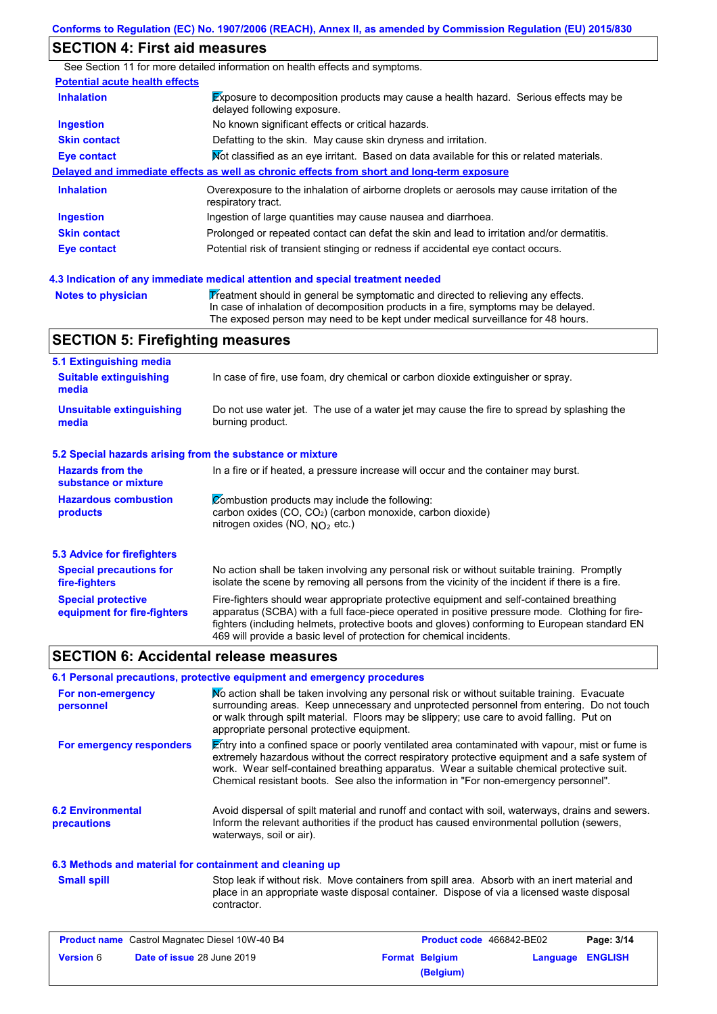# **SECTION 4: First aid measures**

|                                       | See Section 11 for more detailed information on health effects and symptoms.                                               |  |  |  |
|---------------------------------------|----------------------------------------------------------------------------------------------------------------------------|--|--|--|
| <b>Potential acute health effects</b> |                                                                                                                            |  |  |  |
| <b>Inhalation</b>                     | <b>Exposure to decomposition products may cause a health hazard.</b> Serious effects may be<br>delayed following exposure. |  |  |  |
| <b>Ingestion</b>                      | No known significant effects or critical hazards.                                                                          |  |  |  |
| <b>Skin contact</b>                   | Defatting to the skin. May cause skin dryness and irritation.                                                              |  |  |  |
| Eye contact                           | Mot classified as an eye irritant. Based on data available for this or related materials.                                  |  |  |  |
|                                       | Delayed and immediate effects as well as chronic effects from short and long-term exposure                                 |  |  |  |
| <b>Inhalation</b>                     | Overexposure to the inhalation of airborne droplets or aerosols may cause irritation of the<br>respiratory tract.          |  |  |  |
| <b>Ingestion</b>                      | Ingestion of large quantities may cause nausea and diarrhoea.                                                              |  |  |  |
| <b>Skin contact</b>                   | Prolonged or repeated contact can defat the skin and lead to irritation and/or dermatitis.                                 |  |  |  |
| Eye contact                           | Potential risk of transient stinging or redness if accidental eye contact occurs.                                          |  |  |  |
|                                       |                                                                                                                            |  |  |  |

**4.3 Indication of any immediate medical attention and special treatment needed**

Notes to physician **Treatment should in general be symptomatic and directed to relieving any effects.** In case of inhalation of decomposition products in a fire, symptoms may be delayed. The exposed person may need to be kept under medical surveillance for 48 hours.

## **SECTION 5: Firefighting measures**

| 5.1 Extinguishing media                                                                                                                                                                                 |                                                                                                                                                                                                                                                                                                                                                                   |  |
|---------------------------------------------------------------------------------------------------------------------------------------------------------------------------------------------------------|-------------------------------------------------------------------------------------------------------------------------------------------------------------------------------------------------------------------------------------------------------------------------------------------------------------------------------------------------------------------|--|
| <b>Suitable extinguishing</b><br>media                                                                                                                                                                  | In case of fire, use foam, dry chemical or carbon dioxide extinguisher or spray.                                                                                                                                                                                                                                                                                  |  |
| <b>Unsuitable extinguishing</b><br>media                                                                                                                                                                | Do not use water jet. The use of a water jet may cause the fire to spread by splashing the<br>burning product.                                                                                                                                                                                                                                                    |  |
| 5.2 Special hazards arising from the substance or mixture                                                                                                                                               |                                                                                                                                                                                                                                                                                                                                                                   |  |
| <b>Hazards from the</b><br>substance or mixture                                                                                                                                                         | In a fire or if heated, a pressure increase will occur and the container may burst.                                                                                                                                                                                                                                                                               |  |
| <b>Hazardous combustion</b><br>Combustion products may include the following:<br>carbon oxides (CO, CO <sub>2</sub> ) (carbon monoxide, carbon dioxide)<br>products<br>nitrogen oxides (NO, $NO2$ etc.) |                                                                                                                                                                                                                                                                                                                                                                   |  |
| 5.3 Advice for firefighters                                                                                                                                                                             |                                                                                                                                                                                                                                                                                                                                                                   |  |
| <b>Special precautions for</b><br>fire-fighters                                                                                                                                                         | No action shall be taken involving any personal risk or without suitable training. Promptly<br>isolate the scene by removing all persons from the vicinity of the incident if there is a fire.                                                                                                                                                                    |  |
| <b>Special protective</b><br>equipment for fire-fighters                                                                                                                                                | Fire-fighters should wear appropriate protective equipment and self-contained breathing<br>apparatus (SCBA) with a full face-piece operated in positive pressure mode. Clothing for fire-<br>fighters (including helmets, protective boots and gloves) conforming to European standard EN<br>469 will provide a basic level of protection for chemical incidents. |  |

## **SECTION 6: Accidental release measures**

#### **6.1 Personal precautions, protective equipment and emergency procedures**

| For non-emergency<br>personnel          | No action shall be taken involving any personal risk or without suitable training. Evacuate<br>surrounding areas. Keep unnecessary and unprotected personnel from entering. Do not touch<br>or walk through spilt material. Floors may be slippery; use care to avoid falling. Put on<br>appropriate personal protective equipment.                                                  |
|-----------------------------------------|--------------------------------------------------------------------------------------------------------------------------------------------------------------------------------------------------------------------------------------------------------------------------------------------------------------------------------------------------------------------------------------|
| For emergency responders                | Entry into a confined space or poorly ventilated area contaminated with vapour, mist or fume is<br>extremely hazardous without the correct respiratory protective equipment and a safe system of<br>work. Wear self-contained breathing apparatus. Wear a suitable chemical protective suit.<br>Chemical resistant boots. See also the information in "For non-emergency personnel". |
| <b>6.2 Environmental</b><br>precautions | Avoid dispersal of spilt material and runoff and contact with soil, waterways, drains and sewers.<br>Inform the relevant authorities if the product has caused environmental pollution (sewers,<br>waterways, soil or air).                                                                                                                                                          |

#### **6.3 Methods and material for containment and cleaning up**

**Small spill**

Stop leak if without risk. Move containers from spill area. Absorb with an inert material and place in an appropriate waste disposal container. Dispose of via a licensed waste disposal contractor.

| <b>Product name</b> Castrol Magnatec Diesel 10W-40 B4 |                                   | <b>Product code</b> 466842-BE02 |                       | Page: 3/14       |  |
|-------------------------------------------------------|-----------------------------------|---------------------------------|-----------------------|------------------|--|
| <b>Version 6</b>                                      | <b>Date of issue 28 June 2019</b> |                                 | <b>Format Belgium</b> | Language ENGLISH |  |
|                                                       |                                   |                                 | (Belgium)             |                  |  |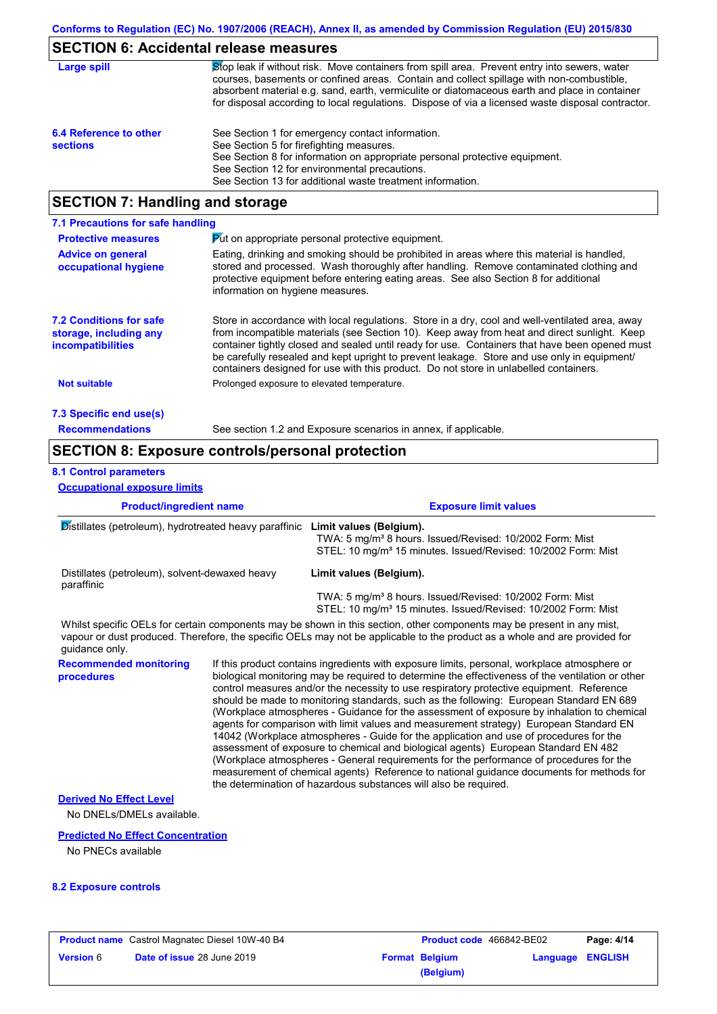# **SECTION 6: Accidental release measures**

| Large spill                               | Stop leak if without risk. Move containers from spill area. Prevent entry into sewers, water<br>courses, basements or confined areas. Contain and collect spillage with non-combustible,<br>absorbent material e.g. sand, earth, vermiculite or diatomaceous earth and place in container<br>for disposal according to local regulations. Dispose of via a licensed waste disposal contractor. |
|-------------------------------------------|------------------------------------------------------------------------------------------------------------------------------------------------------------------------------------------------------------------------------------------------------------------------------------------------------------------------------------------------------------------------------------------------|
| 6.4 Reference to other<br><b>sections</b> | See Section 1 for emergency contact information.<br>See Section 5 for firefighting measures.<br>See Section 8 for information on appropriate personal protective equipment.<br>See Section 12 for environmental precautions.<br>See Section 13 for additional waste treatment information.                                                                                                     |

# **SECTION 7: Handling and storage**

| 7.1 Precautions for safe handling                                                    |                                                                                                                                                                                                                                                                                                                                                                                                                                                                                          |
|--------------------------------------------------------------------------------------|------------------------------------------------------------------------------------------------------------------------------------------------------------------------------------------------------------------------------------------------------------------------------------------------------------------------------------------------------------------------------------------------------------------------------------------------------------------------------------------|
| <b>Protective measures</b>                                                           | <b>Put on appropriate personal protective equipment.</b>                                                                                                                                                                                                                                                                                                                                                                                                                                 |
| <b>Advice on general</b><br>occupational hygiene                                     | Eating, drinking and smoking should be prohibited in areas where this material is handled.<br>stored and processed. Wash thoroughly after handling. Remove contaminated clothing and<br>protective equipment before entering eating areas. See also Section 8 for additional<br>information on hygiene measures.                                                                                                                                                                         |
| <b>7.2 Conditions for safe</b><br>storage, including any<br><i>incompatibilities</i> | Store in accordance with local requiations. Store in a dry, cool and well-ventilated area, away<br>from incompatible materials (see Section 10). Keep away from heat and direct sunlight. Keep<br>container tightly closed and sealed until ready for use. Containers that have been opened must<br>be carefully resealed and kept upright to prevent leakage. Store and use only in equipment/<br>containers designed for use with this product. Do not store in unlabelled containers. |
| Not suitable                                                                         | Prolonged exposure to elevated temperature.                                                                                                                                                                                                                                                                                                                                                                                                                                              |
| 7.3 Specific end use(s)                                                              |                                                                                                                                                                                                                                                                                                                                                                                                                                                                                          |
| <b>Recommendations</b>                                                               | See section 1.2 and Exposure scenarios in annex, if applicable.                                                                                                                                                                                                                                                                                                                                                                                                                          |

# **SECTION 8: Exposure controls/personal protection**

### **8.1 Control parameters**

**Occupational exposure limits**

| <b>Product/ingredient name</b>                               |                                                                                                                                                                                                                                                                                                                                                                                                                                                                                                                                                                                                                                                                                                                                                                                                                                                                                                                                                                                                                            | <b>Exposure limit values</b>                                                                                                                                                                                                                         |  |  |
|--------------------------------------------------------------|----------------------------------------------------------------------------------------------------------------------------------------------------------------------------------------------------------------------------------------------------------------------------------------------------------------------------------------------------------------------------------------------------------------------------------------------------------------------------------------------------------------------------------------------------------------------------------------------------------------------------------------------------------------------------------------------------------------------------------------------------------------------------------------------------------------------------------------------------------------------------------------------------------------------------------------------------------------------------------------------------------------------------|------------------------------------------------------------------------------------------------------------------------------------------------------------------------------------------------------------------------------------------------------|--|--|
| Distillates (petroleum), hydrotreated heavy paraffinic       |                                                                                                                                                                                                                                                                                                                                                                                                                                                                                                                                                                                                                                                                                                                                                                                                                                                                                                                                                                                                                            | Limit values (Belgium).<br>TWA: 5 mg/m <sup>3</sup> 8 hours. Issued/Revised: 10/2002 Form: Mist<br>STEL: 10 mg/m <sup>3</sup> 15 minutes. Issued/Revised: 10/2002 Form: Mist                                                                         |  |  |
| Distillates (petroleum), solvent-dewaxed heavy<br>paraffinic |                                                                                                                                                                                                                                                                                                                                                                                                                                                                                                                                                                                                                                                                                                                                                                                                                                                                                                                                                                                                                            | Limit values (Belgium).<br>TWA: 5 mg/m <sup>3</sup> 8 hours. Issued/Revised: 10/2002 Form: Mist<br>STEL: 10 mg/m <sup>3</sup> 15 minutes. Issued/Revised: 10/2002 Form: Mist                                                                         |  |  |
| guidance only.                                               |                                                                                                                                                                                                                                                                                                                                                                                                                                                                                                                                                                                                                                                                                                                                                                                                                                                                                                                                                                                                                            | Whilst specific OELs for certain components may be shown in this section, other components may be present in any mist,<br>vapour or dust produced. Therefore, the specific OELs may not be applicable to the product as a whole and are provided for |  |  |
| <b>Recommended monitoring</b><br>procedures                  | If this product contains ingredients with exposure limits, personal, workplace atmosphere or<br>biological monitoring may be required to determine the effectiveness of the ventilation or other<br>control measures and/or the necessity to use respiratory protective equipment. Reference<br>should be made to monitoring standards, such as the following: European Standard EN 689<br>(Workplace atmospheres - Guidance for the assessment of exposure by inhalation to chemical<br>agents for comparison with limit values and measurement strategy) European Standard EN<br>14042 (Workplace atmospheres - Guide for the application and use of procedures for the<br>assessment of exposure to chemical and biological agents) European Standard EN 482<br>(Workplace atmospheres - General requirements for the performance of procedures for the<br>measurement of chemical agents) Reference to national guidance documents for methods for<br>the determination of hazardous substances will also be required. |                                                                                                                                                                                                                                                      |  |  |
| <b>Derived No Effect Level</b><br>No DNELs/DMELs available.  |                                                                                                                                                                                                                                                                                                                                                                                                                                                                                                                                                                                                                                                                                                                                                                                                                                                                                                                                                                                                                            |                                                                                                                                                                                                                                                      |  |  |

### **Predicted No Effect Concentration**

No PNECs available

#### **8.2 Exposure controls**

| <b>Product name</b> Castrol Magnatec Diesel 10W-40 B4 |                                   | Product code 466842-BE02 |                       | Page: 4/14              |  |
|-------------------------------------------------------|-----------------------------------|--------------------------|-----------------------|-------------------------|--|
| <b>Version 6</b>                                      | <b>Date of issue 28 June 2019</b> |                          | <b>Format Belgium</b> | <b>Language ENGLISH</b> |  |
|                                                       |                                   |                          | (Belgium)             |                         |  |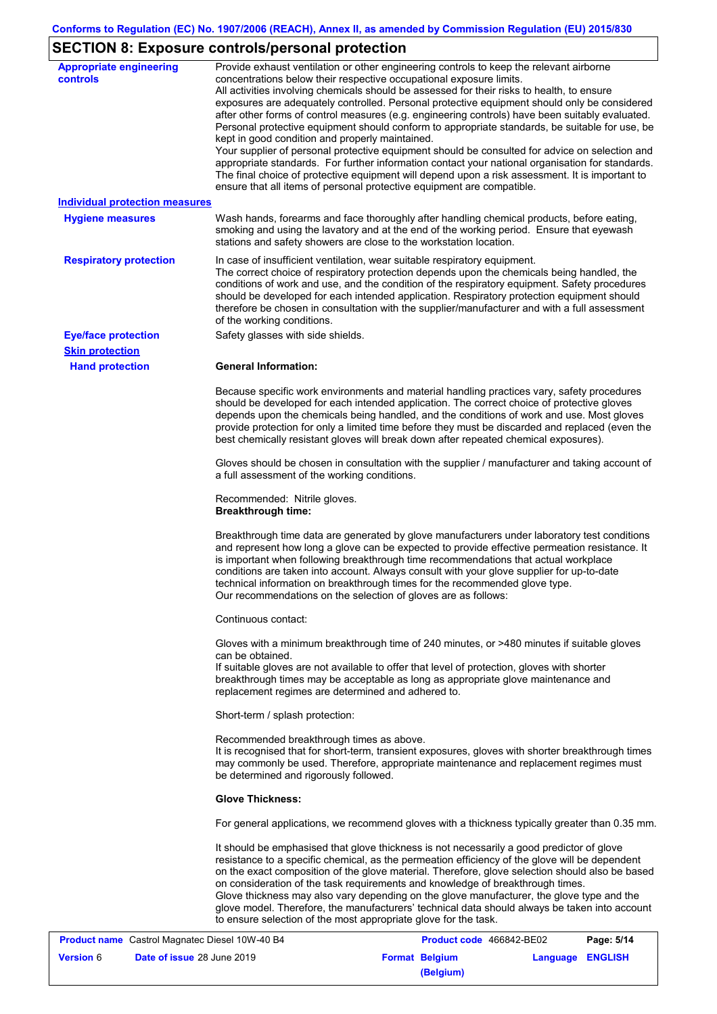# **SECTION 8: Exposure controls/personal protection**

| <b>Appropriate engineering</b><br><b>controls</b> | Provide exhaust ventilation or other engineering controls to keep the relevant airborne<br>concentrations below their respective occupational exposure limits.<br>All activities involving chemicals should be assessed for their risks to health, to ensure<br>exposures are adequately controlled. Personal protective equipment should only be considered<br>after other forms of control measures (e.g. engineering controls) have been suitably evaluated.<br>Personal protective equipment should conform to appropriate standards, be suitable for use, be<br>kept in good condition and properly maintained.<br>Your supplier of personal protective equipment should be consulted for advice on selection and<br>appropriate standards. For further information contact your national organisation for standards.<br>The final choice of protective equipment will depend upon a risk assessment. It is important to<br>ensure that all items of personal protective equipment are compatible. |
|---------------------------------------------------|---------------------------------------------------------------------------------------------------------------------------------------------------------------------------------------------------------------------------------------------------------------------------------------------------------------------------------------------------------------------------------------------------------------------------------------------------------------------------------------------------------------------------------------------------------------------------------------------------------------------------------------------------------------------------------------------------------------------------------------------------------------------------------------------------------------------------------------------------------------------------------------------------------------------------------------------------------------------------------------------------------|
| <b>Individual protection measures</b>             |                                                                                                                                                                                                                                                                                                                                                                                                                                                                                                                                                                                                                                                                                                                                                                                                                                                                                                                                                                                                         |
| <b>Hygiene measures</b>                           | Wash hands, forearms and face thoroughly after handling chemical products, before eating,<br>smoking and using the lavatory and at the end of the working period. Ensure that eyewash<br>stations and safety showers are close to the workstation location.                                                                                                                                                                                                                                                                                                                                                                                                                                                                                                                                                                                                                                                                                                                                             |
| <b>Respiratory protection</b>                     | In case of insufficient ventilation, wear suitable respiratory equipment.<br>The correct choice of respiratory protection depends upon the chemicals being handled, the<br>conditions of work and use, and the condition of the respiratory equipment. Safety procedures<br>should be developed for each intended application. Respiratory protection equipment should<br>therefore be chosen in consultation with the supplier/manufacturer and with a full assessment<br>of the working conditions.                                                                                                                                                                                                                                                                                                                                                                                                                                                                                                   |
| <b>Eye/face protection</b>                        | Safety glasses with side shields.                                                                                                                                                                                                                                                                                                                                                                                                                                                                                                                                                                                                                                                                                                                                                                                                                                                                                                                                                                       |
| <b>Skin protection</b>                            |                                                                                                                                                                                                                                                                                                                                                                                                                                                                                                                                                                                                                                                                                                                                                                                                                                                                                                                                                                                                         |
| <b>Hand protection</b>                            | <b>General Information:</b>                                                                                                                                                                                                                                                                                                                                                                                                                                                                                                                                                                                                                                                                                                                                                                                                                                                                                                                                                                             |
|                                                   | Because specific work environments and material handling practices vary, safety procedures<br>should be developed for each intended application. The correct choice of protective gloves<br>depends upon the chemicals being handled, and the conditions of work and use. Most gloves<br>provide protection for only a limited time before they must be discarded and replaced (even the<br>best chemically resistant gloves will break down after repeated chemical exposures).                                                                                                                                                                                                                                                                                                                                                                                                                                                                                                                        |
|                                                   | Gloves should be chosen in consultation with the supplier / manufacturer and taking account of<br>a full assessment of the working conditions.                                                                                                                                                                                                                                                                                                                                                                                                                                                                                                                                                                                                                                                                                                                                                                                                                                                          |
|                                                   | Recommended: Nitrile gloves.<br><b>Breakthrough time:</b>                                                                                                                                                                                                                                                                                                                                                                                                                                                                                                                                                                                                                                                                                                                                                                                                                                                                                                                                               |
|                                                   | Breakthrough time data are generated by glove manufacturers under laboratory test conditions<br>and represent how long a glove can be expected to provide effective permeation resistance. It<br>is important when following breakthrough time recommendations that actual workplace<br>conditions are taken into account. Always consult with your glove supplier for up-to-date<br>technical information on breakthrough times for the recommended glove type.<br>Our recommendations on the selection of gloves are as follows:                                                                                                                                                                                                                                                                                                                                                                                                                                                                      |
|                                                   | Continuous contact:                                                                                                                                                                                                                                                                                                                                                                                                                                                                                                                                                                                                                                                                                                                                                                                                                                                                                                                                                                                     |
|                                                   | Gloves with a minimum breakthrough time of 240 minutes, or >480 minutes if suitable gloves<br>can be obtained.<br>If suitable gloves are not available to offer that level of protection, gloves with shorter<br>breakthrough times may be acceptable as long as appropriate glove maintenance and<br>replacement regimes are determined and adhered to.                                                                                                                                                                                                                                                                                                                                                                                                                                                                                                                                                                                                                                                |
|                                                   | Short-term / splash protection:                                                                                                                                                                                                                                                                                                                                                                                                                                                                                                                                                                                                                                                                                                                                                                                                                                                                                                                                                                         |
|                                                   | Recommended breakthrough times as above.<br>It is recognised that for short-term, transient exposures, gloves with shorter breakthrough times<br>may commonly be used. Therefore, appropriate maintenance and replacement regimes must<br>be determined and rigorously followed.                                                                                                                                                                                                                                                                                                                                                                                                                                                                                                                                                                                                                                                                                                                        |
|                                                   | <b>Glove Thickness:</b>                                                                                                                                                                                                                                                                                                                                                                                                                                                                                                                                                                                                                                                                                                                                                                                                                                                                                                                                                                                 |
|                                                   | For general applications, we recommend gloves with a thickness typically greater than 0.35 mm.                                                                                                                                                                                                                                                                                                                                                                                                                                                                                                                                                                                                                                                                                                                                                                                                                                                                                                          |
|                                                   | It should be emphasised that glove thickness is not necessarily a good predictor of glove<br>resistance to a specific chemical, as the permeation efficiency of the glove will be dependent<br>on the exact composition of the glove material. Therefore, glove selection should also be based<br>on consideration of the task requirements and knowledge of breakthrough times.<br>Glove thickness may also vary depending on the glove manufacturer, the glove type and the<br>glove model. Therefore, the manufacturers' technical data should always be taken into account<br>to ensure selection of the most appropriate glove for the task.<br>0.0010000                                                                                                                                                                                                                                                                                                                                          |

| <b>Product name</b> Castrol Magnatec Diesel 10W-40 B4 |                                   | <b>Product code</b> 466842-BE02 |                       | Page: 5/14       |  |
|-------------------------------------------------------|-----------------------------------|---------------------------------|-----------------------|------------------|--|
| <b>Version 6</b>                                      | <b>Date of issue 28 June 2019</b> |                                 | <b>Format Belgium</b> | Language ENGLISH |  |
|                                                       |                                   |                                 | (Belgium)             |                  |  |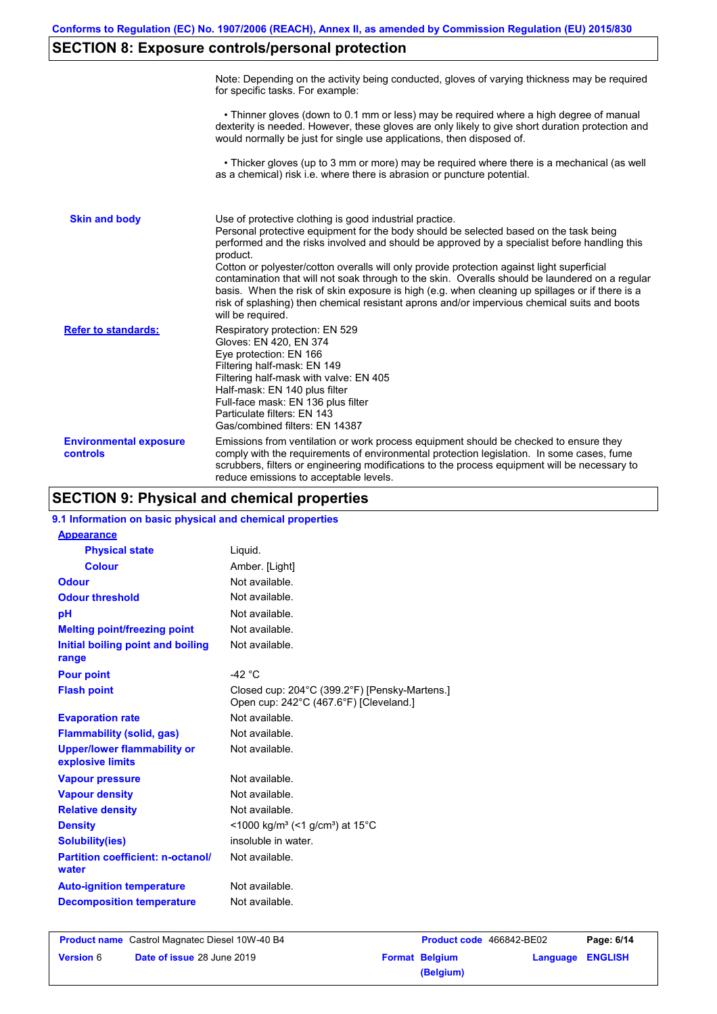# **SECTION 8: Exposure controls/personal protection**

|                                           | Note: Depending on the activity being conducted, gloves of varying thickness may be required<br>for specific tasks. For example:                                                                                                                                                                                                                                                                                                                                                                                                                                                                                                                                                      |
|-------------------------------------------|---------------------------------------------------------------------------------------------------------------------------------------------------------------------------------------------------------------------------------------------------------------------------------------------------------------------------------------------------------------------------------------------------------------------------------------------------------------------------------------------------------------------------------------------------------------------------------------------------------------------------------------------------------------------------------------|
|                                           | • Thinner gloves (down to 0.1 mm or less) may be required where a high degree of manual<br>dexterity is needed. However, these gloves are only likely to give short duration protection and<br>would normally be just for single use applications, then disposed of.                                                                                                                                                                                                                                                                                                                                                                                                                  |
|                                           | • Thicker gloves (up to 3 mm or more) may be required where there is a mechanical (as well<br>as a chemical) risk i.e. where there is abrasion or puncture potential.                                                                                                                                                                                                                                                                                                                                                                                                                                                                                                                 |
| <b>Skin and body</b>                      | Use of protective clothing is good industrial practice.<br>Personal protective equipment for the body should be selected based on the task being<br>performed and the risks involved and should be approved by a specialist before handling this<br>product.<br>Cotton or polyester/cotton overalls will only provide protection against light superficial<br>contamination that will not soak through to the skin. Overalls should be laundered on a regular<br>basis. When the risk of skin exposure is high (e.g. when cleaning up spillages or if there is a<br>risk of splashing) then chemical resistant aprons and/or impervious chemical suits and boots<br>will be required. |
| <b>Refer to standards:</b>                | Respiratory protection: EN 529<br>Gloves: EN 420, EN 374<br>Eye protection: EN 166<br>Filtering half-mask: EN 149<br>Filtering half-mask with valve: EN 405<br>Half-mask: EN 140 plus filter<br>Full-face mask: EN 136 plus filter<br>Particulate filters: EN 143<br>Gas/combined filters: EN 14387                                                                                                                                                                                                                                                                                                                                                                                   |
| <b>Environmental exposure</b><br>controls | Emissions from ventilation or work process equipment should be checked to ensure they<br>comply with the requirements of environmental protection legislation. In some cases, fume<br>scrubbers, filters or engineering modifications to the process equipment will be necessary to<br>reduce emissions to acceptable levels.                                                                                                                                                                                                                                                                                                                                                         |

# **SECTION 9: Physical and chemical properties**

| 9.1 Information on basic physical and chemical properties |                                                                                         |
|-----------------------------------------------------------|-----------------------------------------------------------------------------------------|
| <b>Appearance</b>                                         |                                                                                         |
| <b>Physical state</b>                                     | Liquid.                                                                                 |
| <b>Colour</b>                                             | Amber. [Light]                                                                          |
| <b>Odour</b>                                              | Not available.                                                                          |
| <b>Odour threshold</b>                                    | Not available.                                                                          |
| pH                                                        | Not available.                                                                          |
| <b>Melting point/freezing point</b>                       | Not available.                                                                          |
| <b>Initial boiling point and boiling</b><br>range         | Not available.                                                                          |
| <b>Pour point</b>                                         | -42 $\degree$ C                                                                         |
| <b>Flash point</b>                                        | Closed cup: 204°C (399.2°F) [Pensky-Martens.]<br>Open cup: 242°C (467.6°F) [Cleveland.] |
| <b>Evaporation rate</b>                                   | Not available.                                                                          |
| <b>Flammability (solid, gas)</b>                          | Not available.                                                                          |
| <b>Upper/lower flammability or</b><br>explosive limits    | Not available.                                                                          |
| <b>Vapour pressure</b>                                    | Not available.                                                                          |
| <b>Vapour density</b>                                     | Not available.                                                                          |
| <b>Relative density</b>                                   | Not available.                                                                          |
| <b>Density</b>                                            | <1000 kg/m <sup>3</sup> (<1 g/cm <sup>3</sup> ) at 15 <sup>°</sup> C                    |
| <b>Solubility(ies)</b>                                    | insoluble in water.                                                                     |
| <b>Partition coefficient: n-octanol/</b><br>water         | Not available.                                                                          |
| <b>Auto-ignition temperature</b>                          | Not available.                                                                          |
| <b>Decomposition temperature</b>                          | Not available.                                                                          |
|                                                           |                                                                                         |

| <b>Product name</b> Castrol Magnatec Diesel 10W-40 B4 |                                   | <b>Product code</b> 466842-BE02 |                       | Page: 6/14              |  |
|-------------------------------------------------------|-----------------------------------|---------------------------------|-----------------------|-------------------------|--|
| <b>Version 6</b>                                      | <b>Date of issue 28 June 2019</b> |                                 | <b>Format Belgium</b> | <b>Language ENGLISH</b> |  |
|                                                       |                                   |                                 | (Belgium)             |                         |  |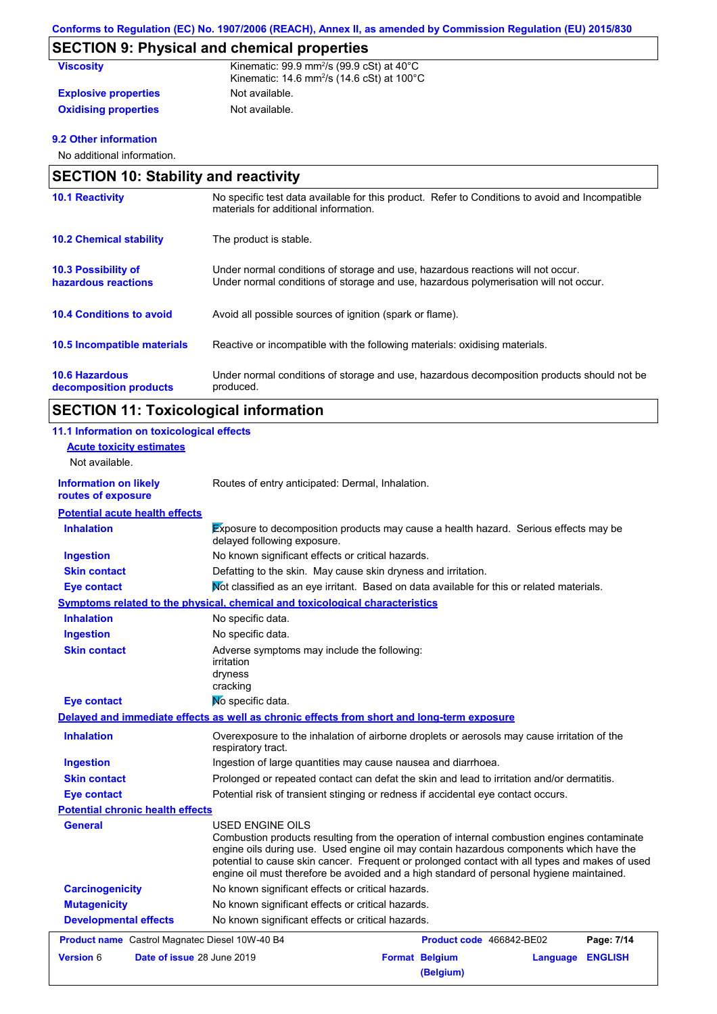# **SECTION 9: Physical and chemical properties**

| <b>Viscosity</b>            | Kinematic: $99.9$ mm <sup>2</sup> /s ( $99.9$ cSt) at $40^{\circ}$ C<br>Kinematic: 14.6 mm <sup>2</sup> /s (14.6 cSt) at $100^{\circ}$ C |
|-----------------------------|------------------------------------------------------------------------------------------------------------------------------------------|
| <b>Explosive properties</b> | Not available.                                                                                                                           |
| <b>Oxidising properties</b> | Not available.                                                                                                                           |

### **9.2 Other information**

No additional information.

|                                                   | <b>SECTION 10: Stability and reactivity</b>                                                                                                                             |  |  |
|---------------------------------------------------|-------------------------------------------------------------------------------------------------------------------------------------------------------------------------|--|--|
| <b>10.1 Reactivity</b>                            | No specific test data available for this product. Refer to Conditions to avoid and Incompatible<br>materials for additional information.                                |  |  |
| <b>10.2 Chemical stability</b>                    | The product is stable.                                                                                                                                                  |  |  |
| <b>10.3 Possibility of</b><br>hazardous reactions | Under normal conditions of storage and use, hazardous reactions will not occur.<br>Under normal conditions of storage and use, hazardous polymerisation will not occur. |  |  |
| <b>10.4 Conditions to avoid</b>                   | Avoid all possible sources of ignition (spark or flame).                                                                                                                |  |  |
| 10.5 Incompatible materials                       | Reactive or incompatible with the following materials: oxidising materials.                                                                                             |  |  |
| <b>10.6 Hazardous</b><br>decomposition products   | Under normal conditions of storage and use, hazardous decomposition products should not be<br>produced.                                                                 |  |  |

# **SECTION 11: Toxicological information**

| 11.1 Information on toxicological effects             |                                                                                                                                                                                                                                                                                                                                                                                                                 |
|-------------------------------------------------------|-----------------------------------------------------------------------------------------------------------------------------------------------------------------------------------------------------------------------------------------------------------------------------------------------------------------------------------------------------------------------------------------------------------------|
| <b>Acute toxicity estimates</b>                       |                                                                                                                                                                                                                                                                                                                                                                                                                 |
| Not available.                                        |                                                                                                                                                                                                                                                                                                                                                                                                                 |
| <b>Information on likely</b><br>routes of exposure    | Routes of entry anticipated: Dermal, Inhalation.                                                                                                                                                                                                                                                                                                                                                                |
| <b>Potential acute health effects</b>                 |                                                                                                                                                                                                                                                                                                                                                                                                                 |
| <b>Inhalation</b>                                     | <b>Exposure to decomposition products may cause a health hazard.</b> Serious effects may be<br>delayed following exposure.                                                                                                                                                                                                                                                                                      |
| <b>Ingestion</b>                                      | No known significant effects or critical hazards.                                                                                                                                                                                                                                                                                                                                                               |
| <b>Skin contact</b>                                   | Defatting to the skin. May cause skin dryness and irritation.                                                                                                                                                                                                                                                                                                                                                   |
| <b>Eye contact</b>                                    | Mot classified as an eye irritant. Based on data available for this or related materials.                                                                                                                                                                                                                                                                                                                       |
|                                                       | Symptoms related to the physical, chemical and toxicological characteristics                                                                                                                                                                                                                                                                                                                                    |
| <b>Inhalation</b>                                     | No specific data.                                                                                                                                                                                                                                                                                                                                                                                               |
| <b>Ingestion</b>                                      | No specific data.                                                                                                                                                                                                                                                                                                                                                                                               |
| <b>Skin contact</b>                                   | Adverse symptoms may include the following:<br>irritation<br>dryness<br>cracking                                                                                                                                                                                                                                                                                                                                |
| <b>Eye contact</b>                                    | No specific data.                                                                                                                                                                                                                                                                                                                                                                                               |
|                                                       | Delayed and immediate effects as well as chronic effects from short and long-term exposure                                                                                                                                                                                                                                                                                                                      |
| <b>Inhalation</b>                                     | Overexposure to the inhalation of airborne droplets or aerosols may cause irritation of the<br>respiratory tract.                                                                                                                                                                                                                                                                                               |
| <b>Ingestion</b>                                      | Ingestion of large quantities may cause nausea and diarrhoea.                                                                                                                                                                                                                                                                                                                                                   |
| <b>Skin contact</b>                                   | Prolonged or repeated contact can defat the skin and lead to irritation and/or dermatitis.                                                                                                                                                                                                                                                                                                                      |
| <b>Eye contact</b>                                    | Potential risk of transient stinging or redness if accidental eye contact occurs.                                                                                                                                                                                                                                                                                                                               |
| <b>Potential chronic health effects</b>               |                                                                                                                                                                                                                                                                                                                                                                                                                 |
| <b>General</b>                                        | <b>USED ENGINE OILS</b><br>Combustion products resulting from the operation of internal combustion engines contaminate<br>engine oils during use. Used engine oil may contain hazardous components which have the<br>potential to cause skin cancer. Frequent or prolonged contact with all types and makes of used<br>engine oil must therefore be avoided and a high standard of personal hygiene maintained. |
| <b>Carcinogenicity</b>                                | No known significant effects or critical hazards.                                                                                                                                                                                                                                                                                                                                                               |
| <b>Mutagenicity</b>                                   | No known significant effects or critical hazards.                                                                                                                                                                                                                                                                                                                                                               |
| <b>Developmental effects</b>                          | No known significant effects or critical hazards.                                                                                                                                                                                                                                                                                                                                                               |
| <b>Product name</b> Castrol Magnatec Diesel 10W-40 B4 | Product code 466842-BE02<br>Page: 7/14                                                                                                                                                                                                                                                                                                                                                                          |
| <b>Version 6</b><br>Date of issue 28 June 2019        | <b>Format Belgium</b><br><b>ENGLISH</b><br><b>Language</b><br>(Belgium)                                                                                                                                                                                                                                                                                                                                         |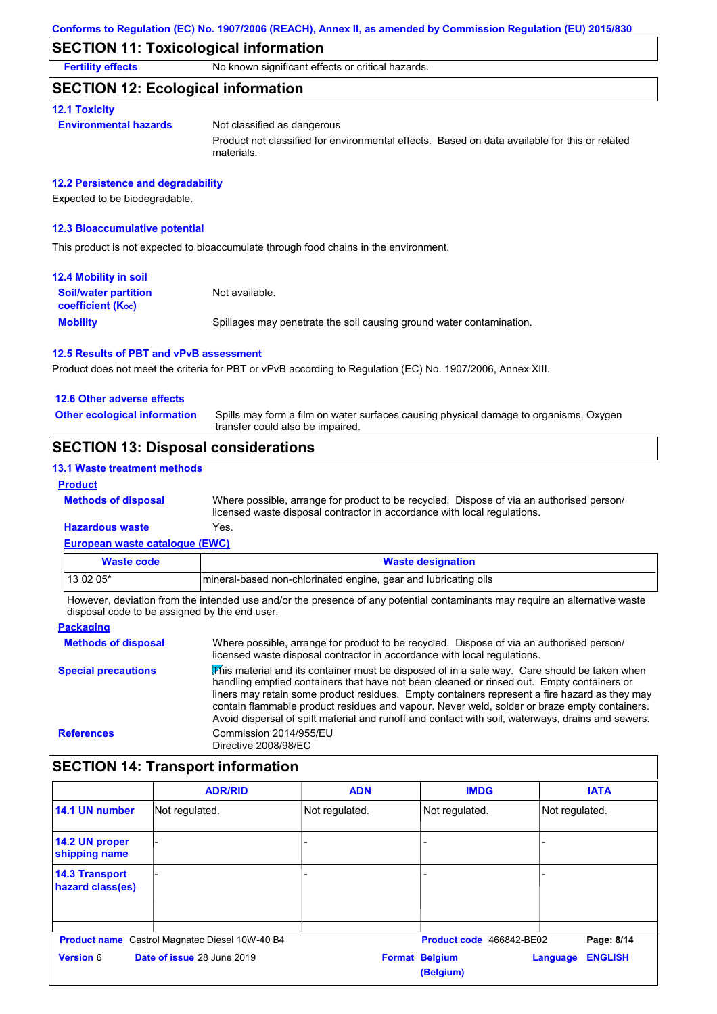## **SECTION 11: Toxicological information**

**Fertility effects** No known significant effects or critical hazards.

### **SECTION 12: Ecological information**

#### **12.1 Toxicity**

**Environmental hazards** Not classified as dangerous

Product not classified for environmental effects. Based on data available for this or related materials.

#### **12.2 Persistence and degradability**

Expected to be biodegradable.

#### **12.3 Bioaccumulative potential**

This product is not expected to bioaccumulate through food chains in the environment.

| <b>12.4 Mobility in soil</b>                            |                                                                      |
|---------------------------------------------------------|----------------------------------------------------------------------|
| <b>Soil/water partition</b><br><b>coefficient (Koc)</b> | Not available.                                                       |
| <b>Mobility</b>                                         | Spillages may penetrate the soil causing ground water contamination. |

#### **12.5 Results of PBT and vPvB assessment**

Product does not meet the criteria for PBT or vPvB according to Regulation (EC) No. 1907/2006, Annex XIII.

#### **12.6 Other adverse effects**

**Other ecological information**

Spills may form a film on water surfaces causing physical damage to organisms. Oxygen transfer could also be impaired.

## **SECTION 13: Disposal considerations**

#### **13.1 Waste treatment methods**

#### **Product**

Where possible, arrange for product to be recycled. Dispose of via an authorised person/ licensed waste disposal contractor in accordance with local regulations.

## **Hazardous waste** Yes.

**Methods of disposal**

| European waste catalogue (EWC) |                                                                 |  |
|--------------------------------|-----------------------------------------------------------------|--|
| <b>Waste code</b>              | <b>Waste designation</b>                                        |  |
| l 13 02 05*                    | mineral-based non-chlorinated engine, gear and lubricating oils |  |

However, deviation from the intended use and/or the presence of any potential contaminants may require an alternative waste disposal code to be assigned by the end user.

#### **Packaging Methods of disposal Special precautions** Where possible, arrange for product to be recycled. Dispose of via an authorised person/ licensed waste disposal contractor in accordance with local regulations.  $\overline{\mathbf{F}}$ his material and its container must be disposed of in a safe way. Care should be taken when handling emptied containers that have not been cleaned or rinsed out. Empty containers or liners may retain some product residues. Empty containers represent a fire hazard as they may contain flammable product residues and vapour. Never weld, solder or braze empty containers. Avoid dispersal of spilt material and runoff and contact with soil, waterways, drains and sewers. **References** Commission 2014/955/EU Directive 2008/98/EC

## **SECTION 14: Transport information**

|                                           | <b>ADR/RID</b>                                        | <b>ADN</b>     | <b>IMDG</b>                        | <b>IATA</b>                |
|-------------------------------------------|-------------------------------------------------------|----------------|------------------------------------|----------------------------|
| 14.1 UN number                            | Not regulated.                                        | Not regulated. | Not regulated.                     | Not regulated.             |
| 14.2 UN proper<br>shipping name           |                                                       |                |                                    |                            |
| <b>14.3 Transport</b><br>hazard class(es) |                                                       |                |                                    |                            |
|                                           | <b>Product name</b> Castrol Magnatec Diesel 10W-40 B4 |                | Product code 466842-BE02           | Page: 8/14                 |
| <b>Version 6</b>                          | Date of issue 28 June 2019                            |                | <b>Format Belgium</b><br>(Belgium) | <b>ENGLISH</b><br>Language |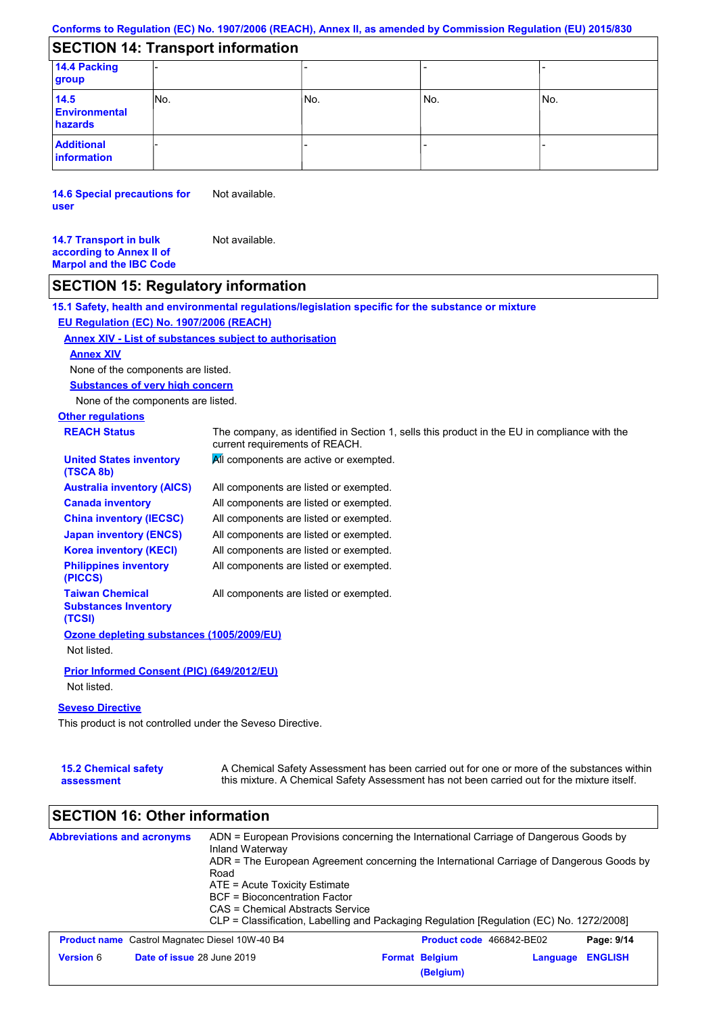# **SECTION 14: Transport information**

| 14.4 Packing<br>group                   |      |     |     |      |  |
|-----------------------------------------|------|-----|-----|------|--|
| 14.5<br><b>Environmental</b><br>hazards | INo. | No. | No. | lNo. |  |
| <b>Additional</b><br>information        |      |     |     |      |  |

**14.6 Special precautions for user** Not available.

**14.7 Transport in bulk according to Annex II of Marpol and the IBC Code** Not available.

# **SECTION 15: Regulatory information**

**15.1 Safety, health and environmental regulations/legislation specific for the substance or mixture**

### **EU Regulation (EC) No. 1907/2006 (REACH)**

#### **Annex XIV - List of substances subject to authorisation**

#### **Annex XIV**

None of the components are listed.

**Substances of very high concern**

None of the components are listed.

# **Other regulations**

| <b>REACH Status</b>                                             | The company, as identified in Section 1, sells this product in the EU in compliance with the<br>current requirements of REACH. |
|-----------------------------------------------------------------|--------------------------------------------------------------------------------------------------------------------------------|
| <b>United States inventory</b><br>(TSCA 8b)                     | All components are active or exempted.                                                                                         |
| <b>Australia inventory (AICS)</b>                               | All components are listed or exempted.                                                                                         |
| <b>Canada inventory</b>                                         | All components are listed or exempted.                                                                                         |
| <b>China inventory (IECSC)</b>                                  | All components are listed or exempted.                                                                                         |
| <b>Japan inventory (ENCS)</b>                                   | All components are listed or exempted.                                                                                         |
| <b>Korea inventory (KECI)</b>                                   | All components are listed or exempted.                                                                                         |
| <b>Philippines inventory</b><br>(PICCS)                         | All components are listed or exempted.                                                                                         |
| <b>Taiwan Chemical</b><br><b>Substances Inventory</b><br>(TCSI) | All components are listed or exempted.                                                                                         |
| Ozone depleting substances (1005/2009/EU)                       |                                                                                                                                |
| Not listed.                                                     |                                                                                                                                |
| Prior Informed Consent (PIC) (649/2012/EU)                      |                                                                                                                                |
| Not listed.                                                     |                                                                                                                                |

#### **Seveso Directive**

This product is not controlled under the Seveso Directive.

| <b>15.2 Chemical safety</b> | A Chemical Safety Assessment has been carried out for one or more of the substances within  |
|-----------------------------|---------------------------------------------------------------------------------------------|
| assessment                  | this mixture. A Chemical Safety Assessment has not been carried out for the mixture itself. |

# **SECTION 16: Other information**

| <b>Abbreviations and acronyms</b>                     | Inland Waterway<br>Road<br>ATE = Acute Toxicity Estimate<br>BCF = Bioconcentration Factor<br>CAS = Chemical Abstracts Service | ADN = European Provisions concerning the International Carriage of Dangerous Goods by<br>ADR = The European Agreement concerning the International Carriage of Dangerous Goods by<br>CLP = Classification, Labelling and Packaging Regulation [Regulation (EC) No. 1272/2008] |  |
|-------------------------------------------------------|-------------------------------------------------------------------------------------------------------------------------------|-------------------------------------------------------------------------------------------------------------------------------------------------------------------------------------------------------------------------------------------------------------------------------|--|
| <b>Product name</b> Castrol Magnatec Diesel 10W-40 B4 |                                                                                                                               | <b>Product code</b> 466842-BE02<br>Page: 9/14                                                                                                                                                                                                                                 |  |
| <b>Version 6</b>                                      | Date of issue 28 June 2019                                                                                                    | <b>ENGLISH</b><br><b>Format Belgium</b><br>Language<br>(Belgium)                                                                                                                                                                                                              |  |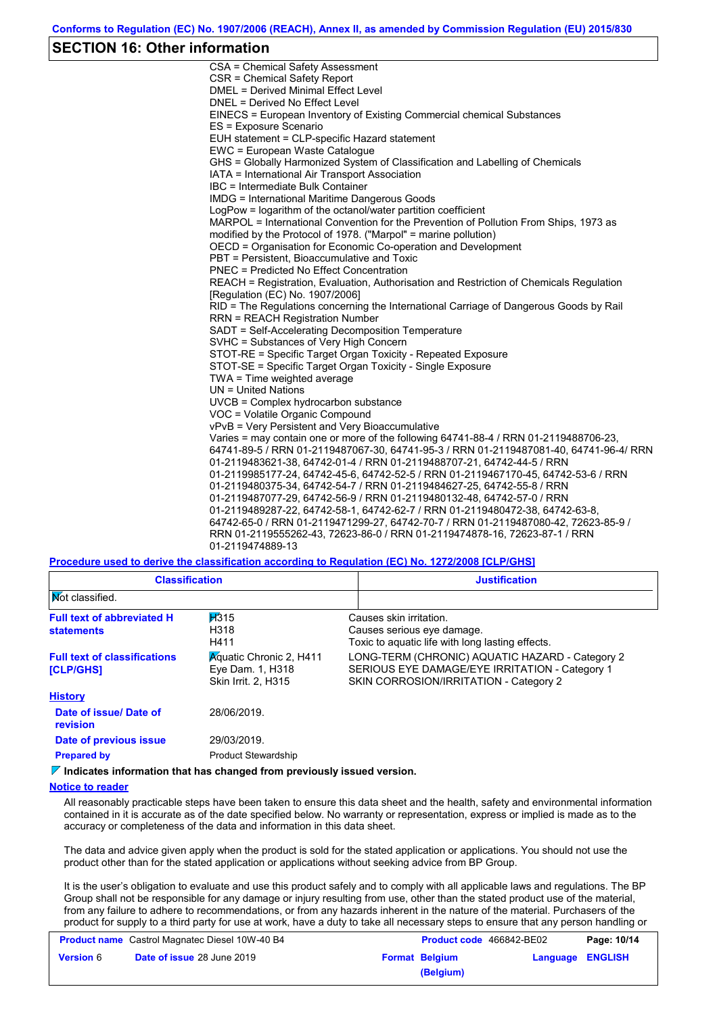## **SECTION 16: Other information**

CSA = Chemical Safety Assessment CSR = Chemical Safety Report DMEL = Derived Minimal Effect Level DNEL = Derived No Effect Level EINECS = European Inventory of Existing Commercial chemical Substances ES = Exposure Scenario EUH statement = CLP-specific Hazard statement EWC = European Waste Catalogue GHS = Globally Harmonized System of Classification and Labelling of Chemicals IATA = International Air Transport Association IBC = Intermediate Bulk Container IMDG = International Maritime Dangerous Goods LogPow = logarithm of the octanol/water partition coefficient MARPOL = International Convention for the Prevention of Pollution From Ships, 1973 as modified by the Protocol of 1978. ("Marpol" = marine pollution) OECD = Organisation for Economic Co-operation and Development PBT = Persistent, Bioaccumulative and Toxic PNEC = Predicted No Effect Concentration REACH = Registration, Evaluation, Authorisation and Restriction of Chemicals Regulation [Regulation (EC) No. 1907/2006] RID = The Regulations concerning the International Carriage of Dangerous Goods by Rail RRN = REACH Registration Number SADT = Self-Accelerating Decomposition Temperature SVHC = Substances of Very High Concern STOT-RE = Specific Target Organ Toxicity - Repeated Exposure STOT-SE = Specific Target Organ Toxicity - Single Exposure TWA = Time weighted average UN = United Nations UVCB = Complex hydrocarbon substance VOC = Volatile Organic Compound vPvB = Very Persistent and Very Bioaccumulative Varies = may contain one or more of the following 64741-88-4 / RRN 01-2119488706-23, 64741-89-5 / RRN 01-2119487067-30, 64741-95-3 / RRN 01-2119487081-40, 64741-96-4/ RRN 01-2119483621-38, 64742-01-4 / RRN 01-2119488707-21, 64742-44-5 / RRN 01-2119985177-24, 64742-45-6, 64742-52-5 / RRN 01-2119467170-45, 64742-53-6 / RRN 01-2119480375-34, 64742-54-7 / RRN 01-2119484627-25, 64742-55-8 / RRN 01-2119487077-29, 64742-56-9 / RRN 01-2119480132-48, 64742-57-0 / RRN 01-2119489287-22, 64742-58-1, 64742-62-7 / RRN 01-2119480472-38, 64742-63-8, 64742-65-0 / RRN 01-2119471299-27, 64742-70-7 / RRN 01-2119487080-42, 72623-85-9 / RRN 01-2119555262-43, 72623-86-0 / RRN 01-2119474878-16, 72623-87-1 / RRN 01-2119474889-13

**Procedure used to derive the classification according to Regulation (EC) No. 1272/2008 [CLP/GHS]**

| <b>Classification</b>                                   |                                                                                                       | <b>Justification</b>                                                                                                                        |
|---------------------------------------------------------|-------------------------------------------------------------------------------------------------------|---------------------------------------------------------------------------------------------------------------------------------------------|
| <b>Not classified.</b>                                  |                                                                                                       |                                                                                                                                             |
| <b>Full text of abbreviated H</b><br><b>statements</b>  | H315<br>H318<br>H411                                                                                  | Causes skin irritation.<br>Causes serious eye damage.<br>Toxic to aguatic life with long lasting effects.                                   |
| <b>Full text of classifications</b><br><b>[CLP/GHS]</b> | <b>Aguatic Chronic 2, H411</b><br>Eye Dam. 1, H318<br><b>Skin Irrit. 2. H315</b>                      | LONG-TERM (CHRONIC) AQUATIC HAZARD - Category 2<br>SERIOUS EYE DAMAGE/EYE IRRITATION - Category 1<br>SKIN CORROSION/IRRITATION - Category 2 |
| <b>History</b>                                          |                                                                                                       |                                                                                                                                             |
| Date of issue/Date of<br>revision                       | 28/06/2019.                                                                                           |                                                                                                                                             |
| Date of previous issue                                  | 29/03/2019.                                                                                           |                                                                                                                                             |
| <b>Prepared by</b>                                      | <b>Product Stewardship</b>                                                                            |                                                                                                                                             |
|                                                         | Villa di antara in famoretta netta della characcia della contrara di controllo in controllo controllo |                                                                                                                                             |

**Indicates information that has changed from previously issued version.**

#### **Notice to reader**

All reasonably practicable steps have been taken to ensure this data sheet and the health, safety and environmental information contained in it is accurate as of the date specified below. No warranty or representation, express or implied is made as to the accuracy or completeness of the data and information in this data sheet.

The data and advice given apply when the product is sold for the stated application or applications. You should not use the product other than for the stated application or applications without seeking advice from BP Group.

It is the user's obligation to evaluate and use this product safely and to comply with all applicable laws and regulations. The BP Group shall not be responsible for any damage or injury resulting from use, other than the stated product use of the material, from any failure to adhere to recommendations, or from any hazards inherent in the nature of the material. Purchasers of the product for supply to a third party for use at work, have a duty to take all necessary steps to ensure that any person handling or

|                  | <b>Product name</b> Castrol Magnatec Diesel 10W-40 B4 | Product code 466842-BE02 |                  | Page: 10/14 |
|------------------|-------------------------------------------------------|--------------------------|------------------|-------------|
| <b>Version 6</b> | <b>Date of issue 28 June 2019</b>                     | <b>Format Belgium</b>    | Language ENGLISH |             |
|                  |                                                       | (Belgium)                |                  |             |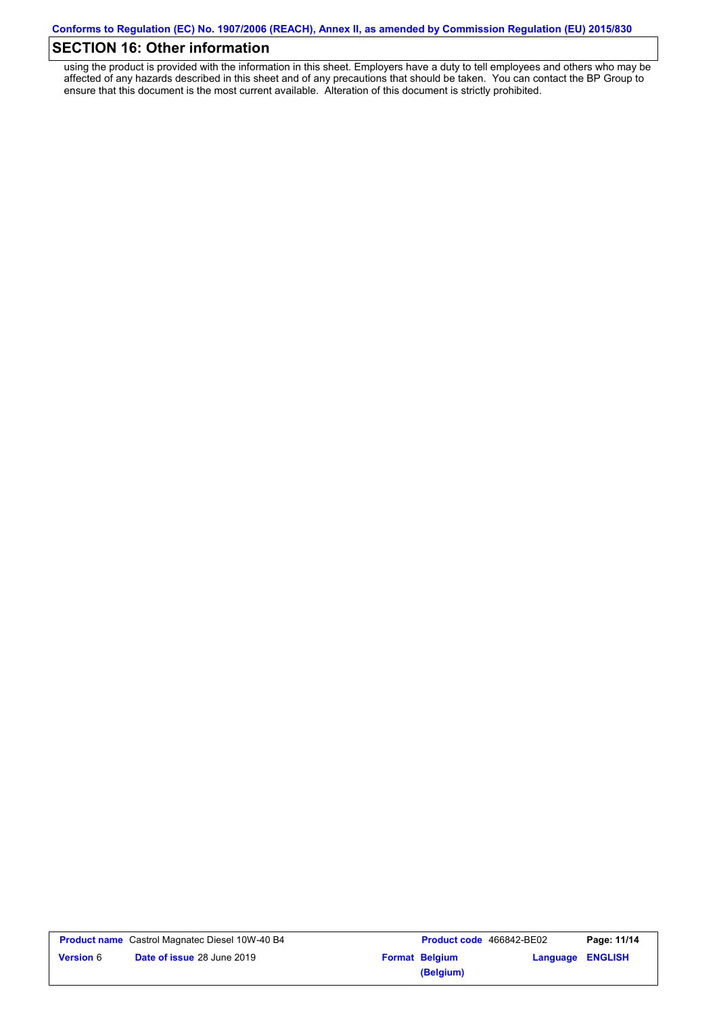# **SECTION 16: Other information**

using the product is provided with the information in this sheet. Employers have a duty to tell employees and others who may be affected of any hazards described in this sheet and of any precautions that should be taken. You can contact the BP Group to ensure that this document is the most current available. Alteration of this document is strictly prohibited.

|                  | <b>Product name</b> Castrol Magnatec Diesel 10W-40 B4 |
|------------------|-------------------------------------------------------|
| <b>Version 6</b> | <b>Date of issue 28 June 2019</b>                     |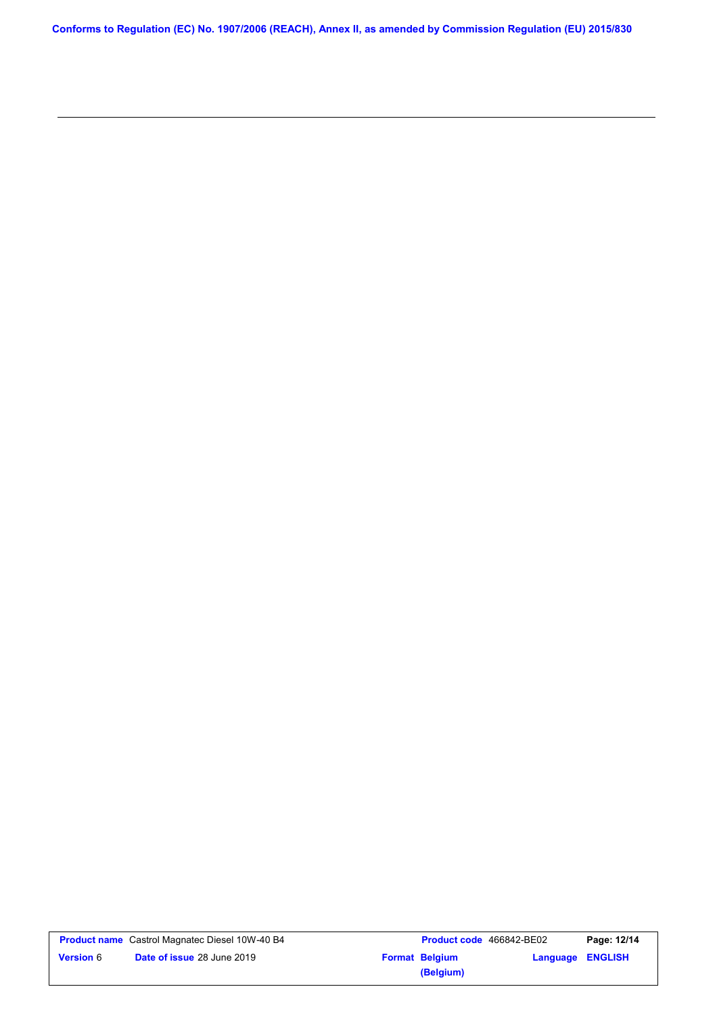|                  | <b>Product name</b> Castrol Magnatec Diesel 10W-40 B4 |
|------------------|-------------------------------------------------------|
| <b>Version 6</b> | <b>Date of issue 28 June 2019</b>                     |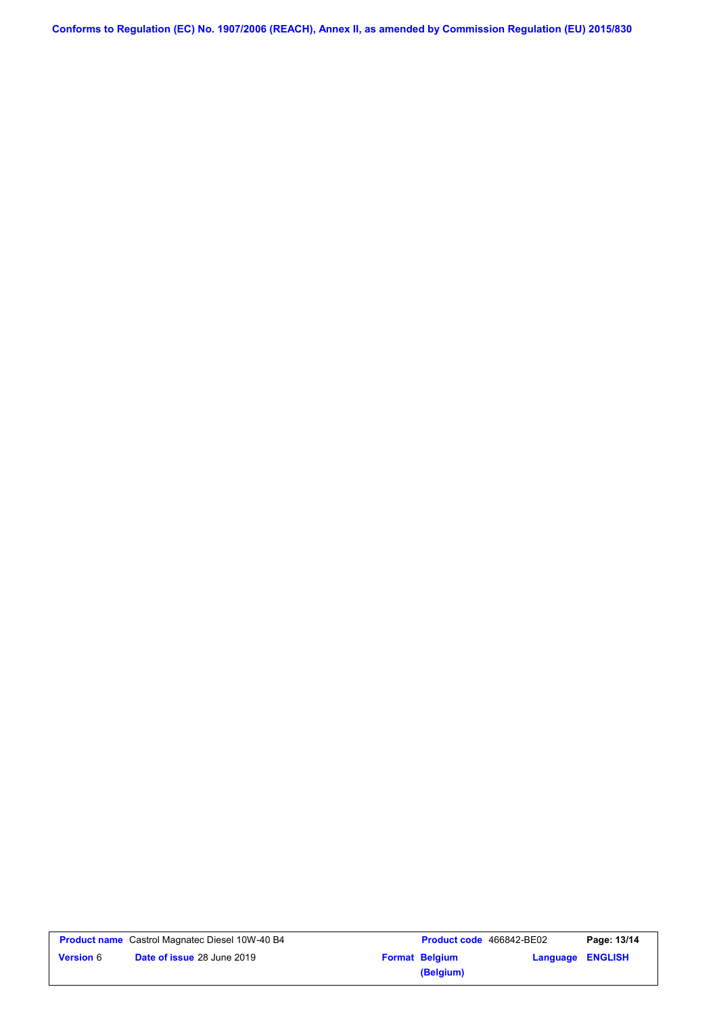|                  | <b>Product name</b> Castrol Magnatec Diesel 10W-40 B4 |
|------------------|-------------------------------------------------------|
| <b>Version 6</b> | <b>Date of issue 28 June 2019</b>                     |